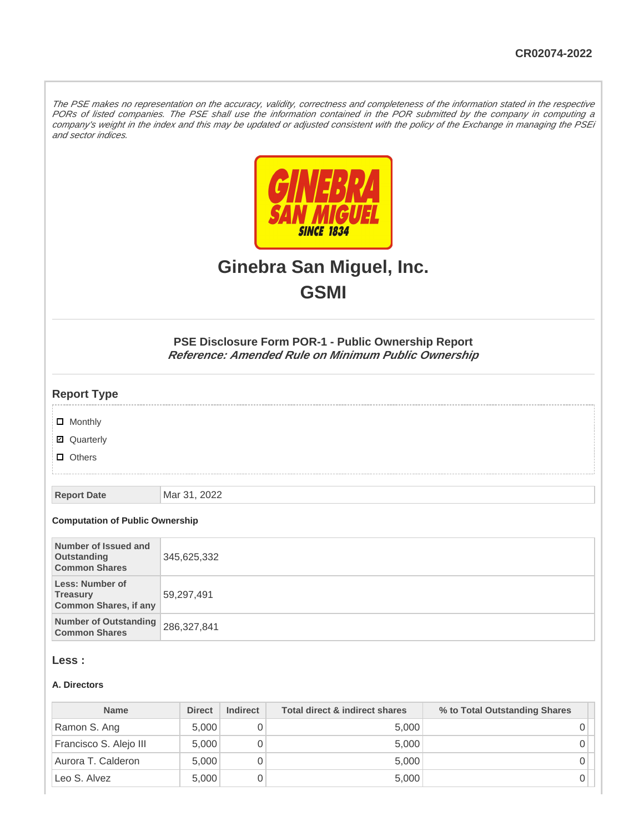The PSE makes no representation on the accuracy, validity, correctness and completeness of the information stated in the respective PORs of listed companies. The PSE shall use the information contained in the POR submitted by the company in computing a company's weight in the index and this may be updated or adjusted consistent with the policy of the Exchange in managing the PSEi and sector indices.



# **Ginebra San Miguel, Inc. GSMI**

**PSE Disclosure Form POR-1 - Public Ownership Report Reference: Amended Rule on Minimum Public Ownership**

## **Report Type**

- **D** Monthly
- Quarterly
- **D** Others

**Report Date** Mar 31, 2022

#### **Computation of Public Ownership**

| Number of Issued and<br>Outstanding<br><b>Common Shares</b>        | 345,625,332 |
|--------------------------------------------------------------------|-------------|
| Less: Number of<br><b>Treasury</b><br><b>Common Shares, if any</b> | 59,297,491  |
| Number of Outstanding 286,327,841<br><b>Common Shares</b>          |             |

#### **Less :**

#### **A. Directors**

| <b>Name</b>            | <b>Direct</b> | <b>Indirect</b> | Total direct & indirect shares | % to Total Outstanding Shares |
|------------------------|---------------|-----------------|--------------------------------|-------------------------------|
| Ramon S. Ang           | 5.000         |                 | 5,000                          |                               |
| Francisco S. Alejo III | 5,000         |                 | 5,000                          |                               |
| Aurora T. Calderon     | 5.000         |                 | 5.000                          |                               |
| Leo S. Alvez           | 5.000         |                 | 5,000                          |                               |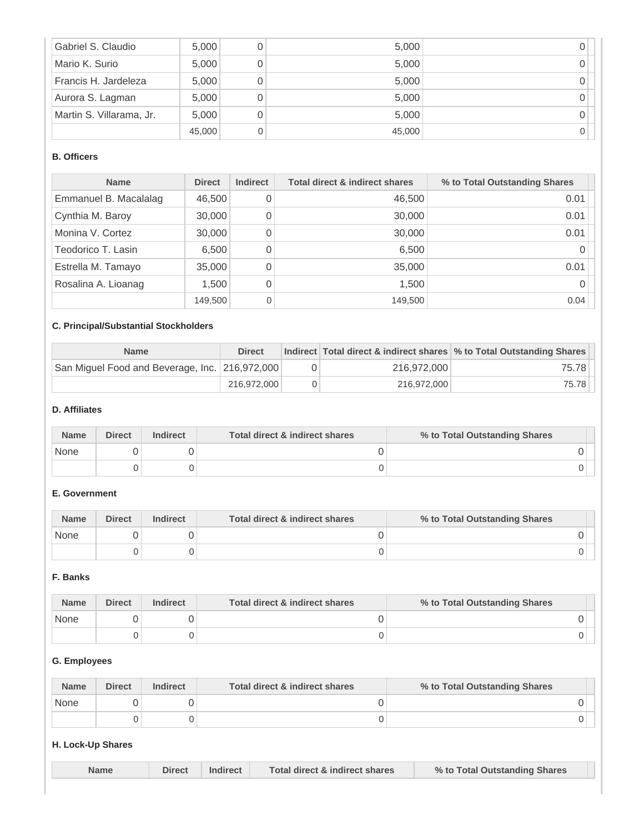| Gabriel S. Claudio       | 5,000  | 5,000  |  |
|--------------------------|--------|--------|--|
| Mario K. Surio           | 5,000  | 5,000  |  |
| Francis H. Jardeleza     | 5,000  | 5,000  |  |
| Aurora S. Lagman         | 5,000  | 5,000  |  |
| Martin S. Villarama, Jr. | 5,000  | 5,000  |  |
|                          | 45,000 | 45,000 |  |

# **B. Officers**

| <b>Name</b>           | <b>Direct</b> | <b>Indirect</b> | <b>Total direct &amp; indirect shares</b> | % to Total Outstanding Shares |
|-----------------------|---------------|-----------------|-------------------------------------------|-------------------------------|
| Emmanuel B. Macalalag | 46,500        |                 | 46,500                                    | 0.01                          |
| Cynthia M. Baroy      | 30,000        |                 | 30,000                                    | 0.01                          |
| Monina V. Cortez      | 30,000        |                 | 30,000                                    | 0.01                          |
| Teodorico T. Lasin    | 6,500         |                 | 6,500                                     |                               |
| Estrella M. Tamayo    | 35,000        |                 | 35,000                                    | 0.01                          |
| Rosalina A. Lioanag   | 1,500         | 0               | 1,500                                     |                               |
|                       | 149,500       |                 | 149,500                                   | 0.04                          |

# **C. Principal/Substantial Stockholders**

| <b>Name</b>                                    | <b>Direct</b> |             | Indirect Total direct & indirect shares \% to Total Outstanding Shares |
|------------------------------------------------|---------------|-------------|------------------------------------------------------------------------|
| San Miguel Food and Beverage, Inc. 216,972,000 |               | 216.972.000 | 75.78                                                                  |
|                                                | 216,972,000   | 216.972.000 | 75.78                                                                  |

#### **D. Affiliates**

| <b>Name</b> | <b>Direct</b> | <b>Indirect</b> | Total direct & indirect shares | % to Total Outstanding Shares |
|-------------|---------------|-----------------|--------------------------------|-------------------------------|
| None        |               |                 |                                |                               |
|             |               |                 |                                |                               |

# **E. Government**

| <b>Name</b> | <b>Direct</b> | <b>Indirect</b> | Total direct & indirect shares | % to Total Outstanding Shares |
|-------------|---------------|-----------------|--------------------------------|-------------------------------|
| None        |               |                 |                                |                               |
|             |               |                 |                                |                               |

#### **F. Banks**

| <b>Name</b> | <b>Direct</b> | <b>Indirect</b> | Total direct & indirect shares | % to Total Outstanding Shares |
|-------------|---------------|-----------------|--------------------------------|-------------------------------|
| None        |               |                 |                                |                               |
|             |               |                 |                                |                               |

## **G. Employees**

| <b>Name</b> | <b>Direct</b> | <b>Indirect</b> | Total direct & indirect shares | % to Total Outstanding Shares |  |
|-------------|---------------|-----------------|--------------------------------|-------------------------------|--|
| None        |               |                 |                                |                               |  |
|             |               |                 |                                |                               |  |

# **H. Lock-Up Shares**

| <b>Name</b> | <b>Direct</b> | <b>Indirect</b> | Total direct & indirect shares | % to Total Outstanding Shares |  |
|-------------|---------------|-----------------|--------------------------------|-------------------------------|--|
|             |               |                 |                                |                               |  |